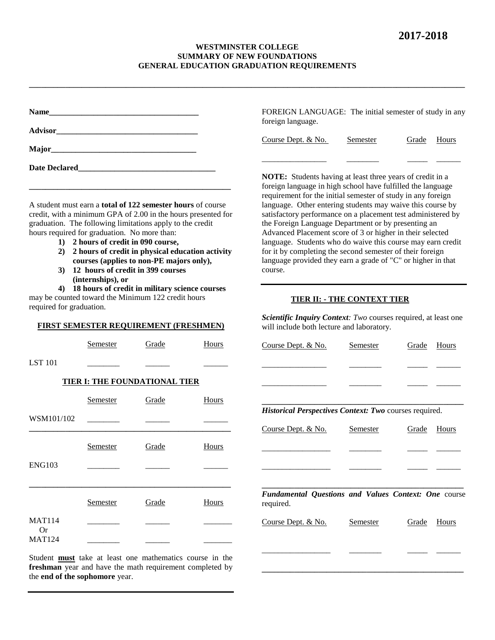## **WESTMINSTER COLLEGE SUMMARY OF NEW FOUNDATIONS GENERAL EDUCATION GRADUATION REQUIREMENTS**

**\_\_\_\_\_\_\_\_\_\_\_\_\_\_\_\_\_\_\_\_\_\_\_\_\_\_\_\_\_\_\_\_\_\_\_\_\_\_\_\_\_\_\_\_\_\_\_\_\_\_\_\_\_\_\_\_\_\_\_\_\_\_\_\_\_\_\_\_\_\_\_\_\_\_\_\_\_\_\_\_\_\_\_\_\_\_\_\_\_\_\_\_\_\_\_\_\_\_\_\_\_\_\_\_\_\_\_\_**

|                                                                                                                                                                                                                                    |                                                          |                                                                                                                                                                                                                                                                                                                                       |       | FOREIGN LANGUAGE: The initial semester of study in any<br>foreign language.                                                                                                                                                                                                                                                                                                                                                                                                                                                                                                                                                                                                                                                                                                                            |                 |              |       |  |
|------------------------------------------------------------------------------------------------------------------------------------------------------------------------------------------------------------------------------------|----------------------------------------------------------|---------------------------------------------------------------------------------------------------------------------------------------------------------------------------------------------------------------------------------------------------------------------------------------------------------------------------------------|-------|--------------------------------------------------------------------------------------------------------------------------------------------------------------------------------------------------------------------------------------------------------------------------------------------------------------------------------------------------------------------------------------------------------------------------------------------------------------------------------------------------------------------------------------------------------------------------------------------------------------------------------------------------------------------------------------------------------------------------------------------------------------------------------------------------------|-----------------|--------------|-------|--|
|                                                                                                                                                                                                                                    |                                                          |                                                                                                                                                                                                                                                                                                                                       |       |                                                                                                                                                                                                                                                                                                                                                                                                                                                                                                                                                                                                                                                                                                                                                                                                        |                 |              |       |  |
|                                                                                                                                                                                                                                    |                                                          |                                                                                                                                                                                                                                                                                                                                       |       | Course Dept. & No.                                                                                                                                                                                                                                                                                                                                                                                                                                                                                                                                                                                                                                                                                                                                                                                     | <b>Semester</b> | Grade        | Hours |  |
| Date Declared <b>Example 2</b> and 2 and 2 and 2 and 2 and 2 and 2 and 2 and 2 and 2 and 2 and 2 and 2 and 2 and 2 and 2 and 2 and 2 and 2 and 2 and 2 and 2 and 2 and 2 and 2 and 2 and 2 and 2 and 2 and 2 and 2 and 2 and 2 and |                                                          |                                                                                                                                                                                                                                                                                                                                       |       |                                                                                                                                                                                                                                                                                                                                                                                                                                                                                                                                                                                                                                                                                                                                                                                                        |                 |              |       |  |
| hours required for graduation. No more than:<br>2)<br>3)                                                                                                                                                                           | 1) 2 hours of credit in 090 course,<br>(internships), or | A student must earn a <b>total of 122 semester hours</b> of course<br>credit, with a minimum GPA of 2.00 in the hours presented for<br>graduation. The following limitations apply to the credit<br>2 hours of credit in physical education activity<br>courses (applies to non-PE majors only),<br>12 hours of credit in 399 courses |       | <b>NOTE:</b> Students having at least three years of credit in a<br>foreign language in high school have fulfilled the language<br>requirement for the initial semester of study in any foreign<br>language. Other entering students may waive this course by<br>satisfactory performance on a placement test administered by<br>the Foreign Language Department or by presenting an<br>Advanced Placement score of 3 or higher in their selected<br>language. Students who do waive this course may earn credit<br>for it by completing the second semester of their foreign<br>language provided they earn a grade of "C" or higher in that<br>course.<br>TIER II: - THE CONTEXT TIER<br>Scientific Inquiry Context: Two courses required, at least one<br>will include both lecture and laboratory. |                 |              |       |  |
| required for graduation.                                                                                                                                                                                                           |                                                          | 4) 18 hours of credit in military science courses<br>may be counted toward the Minimum 122 credit hours                                                                                                                                                                                                                               |       |                                                                                                                                                                                                                                                                                                                                                                                                                                                                                                                                                                                                                                                                                                                                                                                                        |                 |              |       |  |
|                                                                                                                                                                                                                                    |                                                          | <b>FIRST SEMESTER REQUIREMENT (FRESHMEN)</b>                                                                                                                                                                                                                                                                                          |       |                                                                                                                                                                                                                                                                                                                                                                                                                                                                                                                                                                                                                                                                                                                                                                                                        |                 |              |       |  |
|                                                                                                                                                                                                                                    | Semester                                                 | Grade                                                                                                                                                                                                                                                                                                                                 | Hours | Course Dept. & No.                                                                                                                                                                                                                                                                                                                                                                                                                                                                                                                                                                                                                                                                                                                                                                                     | Semester        | Grade        | Hours |  |
| <b>LST</b> 101                                                                                                                                                                                                                     |                                                          |                                                                                                                                                                                                                                                                                                                                       |       |                                                                                                                                                                                                                                                                                                                                                                                                                                                                                                                                                                                                                                                                                                                                                                                                        |                 |              |       |  |
|                                                                                                                                                                                                                                    |                                                          | <b>TIER I: THE FOUNDATIONAL TIER</b>                                                                                                                                                                                                                                                                                                  |       |                                                                                                                                                                                                                                                                                                                                                                                                                                                                                                                                                                                                                                                                                                                                                                                                        |                 |              |       |  |
|                                                                                                                                                                                                                                    | Semester                                                 | Grade                                                                                                                                                                                                                                                                                                                                 | Hours |                                                                                                                                                                                                                                                                                                                                                                                                                                                                                                                                                                                                                                                                                                                                                                                                        |                 |              |       |  |
| WSM101/102                                                                                                                                                                                                                         |                                                          |                                                                                                                                                                                                                                                                                                                                       |       | Historical Perspectives Context: Two courses required.                                                                                                                                                                                                                                                                                                                                                                                                                                                                                                                                                                                                                                                                                                                                                 |                 |              |       |  |
|                                                                                                                                                                                                                                    |                                                          |                                                                                                                                                                                                                                                                                                                                       |       | Course Dept. & No.                                                                                                                                                                                                                                                                                                                                                                                                                                                                                                                                                                                                                                                                                                                                                                                     | Semester        | Grade        | Hours |  |
|                                                                                                                                                                                                                                    | Semester                                                 | Grade                                                                                                                                                                                                                                                                                                                                 | Hours |                                                                                                                                                                                                                                                                                                                                                                                                                                                                                                                                                                                                                                                                                                                                                                                                        |                 |              |       |  |
| <b>ENG103</b>                                                                                                                                                                                                                      |                                                          |                                                                                                                                                                                                                                                                                                                                       |       |                                                                                                                                                                                                                                                                                                                                                                                                                                                                                                                                                                                                                                                                                                                                                                                                        |                 |              |       |  |
|                                                                                                                                                                                                                                    | Semester                                                 | Grade                                                                                                                                                                                                                                                                                                                                 | Hours | Fundamental Questions and Values Context: One course<br>required.                                                                                                                                                                                                                                                                                                                                                                                                                                                                                                                                                                                                                                                                                                                                      |                 |              |       |  |
| <b>MAT114</b>                                                                                                                                                                                                                      |                                                          |                                                                                                                                                                                                                                                                                                                                       |       | Course Dept. & No.                                                                                                                                                                                                                                                                                                                                                                                                                                                                                                                                                                                                                                                                                                                                                                                     | Semester        | <b>Grade</b> | Hours |  |

**\_\_\_\_\_\_\_\_\_\_\_\_\_\_\_\_\_\_\_\_\_\_\_\_\_\_\_\_\_\_\_\_\_\_\_\_\_\_\_\_\_\_\_\_\_\_\_\_\_\_**

**freshman** year and have the math requirement completed by the **end of the sophomore** year.